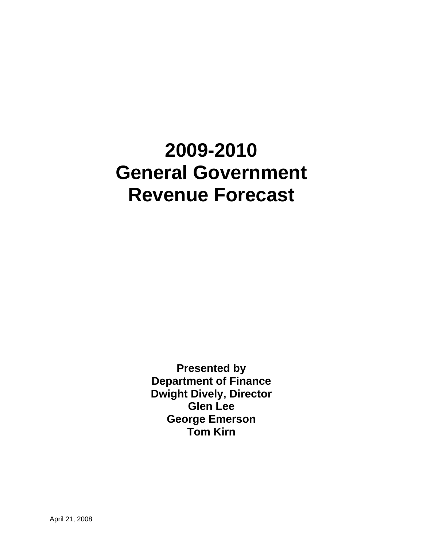# **2009-2010 General Government Revenue Forecast**

**Presented by Department of Finance Dwight Dively, Director Glen Lee George Emerson Tom Kirn**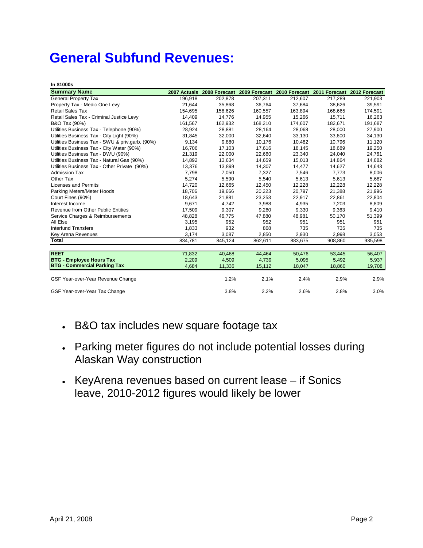## **General Subfund Revenues:**

|  | In \$1000s |  |
|--|------------|--|

| <b>Summary Name</b>                             |         |         | 2007 Actuals 2008 Forecast 2009 Forecast 2010 Forecast 2011 Forecast 2012 Forecast |         |         |         |
|-------------------------------------------------|---------|---------|------------------------------------------------------------------------------------|---------|---------|---------|
| <b>General Property Tax</b>                     | 196,918 | 202,878 | 207,311                                                                            | 212,607 | 217,289 | 221,903 |
| Property Tax - Medic One Levy                   | 21,644  | 35,868  | 36,764                                                                             | 37,684  | 38,626  | 39,591  |
| <b>Retail Sales Tax</b>                         | 154,695 | 158,626 | 160,557                                                                            | 163,894 | 168,665 | 174,591 |
| Retail Sales Tax - Criminal Justice Levy        | 14,409  | 14,776  | 14,955                                                                             | 15,266  | 15,711  | 16,263  |
| B&O Tax (90%)                                   | 161,567 | 162,932 | 168,210                                                                            | 174,607 | 182,671 | 191,687 |
| Utilities Business Tax - Telephone (90%)        | 28,924  | 28,881  | 28,164                                                                             | 28,068  | 28,000  | 27,900  |
| Utilities Business Tax - City Light (90%)       | 31,845  | 32,000  | 32,640                                                                             | 33,130  | 33,600  | 34,130  |
| Utilities Business Tax - SWU & priv.garb. (90%) | 9,134   | 9,880   | 10,176                                                                             | 10,482  | 10,796  | 11,120  |
| Utilities Business Tax - City Water (90%)       | 16,706  | 17,103  | 17,616                                                                             | 18,145  | 18,689  | 19,250  |
| Utilities Business Tax - DWU (90%)              | 21,319  | 22,000  | 22,660                                                                             | 23,340  | 24,040  | 24,761  |
| Utilities Business Tax - Natural Gas (90%)      | 14,892  | 13,634  | 14,659                                                                             | 15,013  | 14,864  | 14,682  |
| Utilities Business Tax - Other Private (90%)    | 13,376  | 13,899  | 14,307                                                                             | 14,477  | 14,627  | 14,643  |
| <b>Admission Tax</b>                            | 7.798   | 7,050   | 7,327                                                                              | 7.546   | 7.773   | 8,006   |
| Other Tax                                       | 5,274   | 5,590   | 5,540                                                                              | 5,613   | 5,613   | 5,687   |
| <b>Licenses and Permits</b>                     | 14,720  | 12,665  | 12,450                                                                             | 12,228  | 12,228  | 12,228  |
| Parking Meters/Meter Hoods                      | 18,706  | 19,666  | 20,223                                                                             | 20,797  | 21,388  | 21,996  |
| Court Fines (90%)                               | 18,643  | 21,881  | 23,253                                                                             | 22,917  | 22,861  | 22,804  |
| Interest Income                                 | 9,671   | 4.742   | 3,988                                                                              | 4,935   | 7.203   | 8,809   |
| Revenue from Other Public Entities              | 17,509  | 9,307   | 9,260                                                                              | 9,330   | 9,363   | 9,410   |
| Service Charges & Reimbursements                | 48,828  | 46,775  | 47,880                                                                             | 48,981  | 50,170  | 51,399  |
| All Else                                        | 3,195   | 952     | 952                                                                                | 951     | 951     | 951     |
| <b>Interfund Transfers</b>                      | 1,833   | 932     | 868                                                                                | 735     | 735     | 735     |
| Key Arena Revenues                              | 3,174   | 3,087   | 2,850                                                                              | 2,930   | 2,998   | 3,053   |
| Total                                           | 834,781 | 845,124 | 862,611                                                                            | 883,675 | 908,860 | 935,598 |
|                                                 |         |         |                                                                                    |         |         |         |
| <b>REET</b>                                     | 71,832  | 40,468  | 44,464                                                                             | 50,476  | 53,445  | 56,407  |
| <b>BTG - Employee Hours Tax</b>                 | 2,209   | 4,509   | 4,739                                                                              | 5,095   | 5,492   | 5,937   |
| <b>BTG - Commercial Parking Tax</b>             | 4.684   | 11,336  | 15,112                                                                             | 18,047  | 18,860  | 19,708  |
| GSF Year-over-Year Revenue Change               |         | 1.2%    | 2.1%                                                                               | 2.4%    | 2.9%    | 2.9%    |
| GSF Year-over-Year Tax Change                   |         | 3.8%    | 2.2%                                                                               | 2.6%    | 2.8%    | 3.0%    |

- B&O tax includes new square footage tax
- Parking meter figures do not include potential losses during Alaskan Way construction
- KeyArena revenues based on current lease if Sonics leave, 2010-2012 figures would likely be lower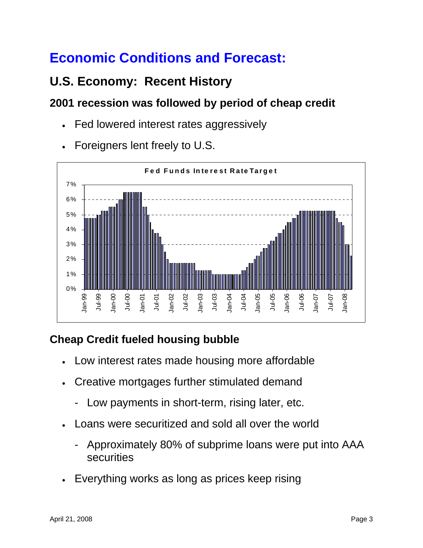# **Economic Conditions and Forecast:**

### **U.S. Economy: Recent History**

### **2001 recession was followed by period of cheap credit**

- Fed lowered interest rates aggressively
- Foreigners lent freely to U.S.



### **Cheap Credit fueled housing bubble**

- Low interest rates made housing more affordable
- Creative mortgages further stimulated demand
	- Low payments in short-term, rising later, etc.
- Loans were securitized and sold all over the world
	- Approximately 80% of subprime loans were put into AAA securities
- Everything works as long as prices keep rising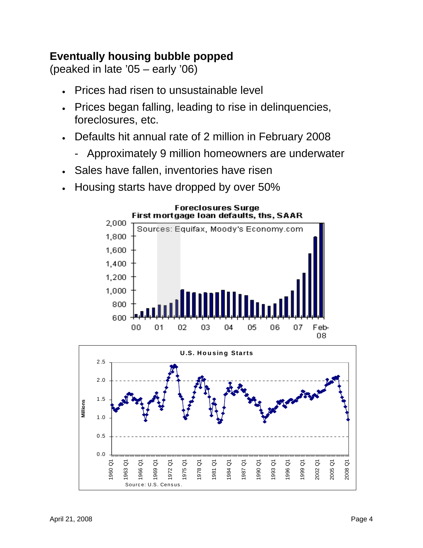### **Eventually housing bubble popped**

(peaked in late '05 – early '06)

- Prices had risen to unsustainable level
- Prices began falling, leading to rise in delinquencies, foreclosures, etc.
- Defaults hit annual rate of 2 million in February 2008
	- Approximately 9 million homeowners are underwater
- Sales have fallen, inventories have risen
- Housing starts have dropped by over 50%



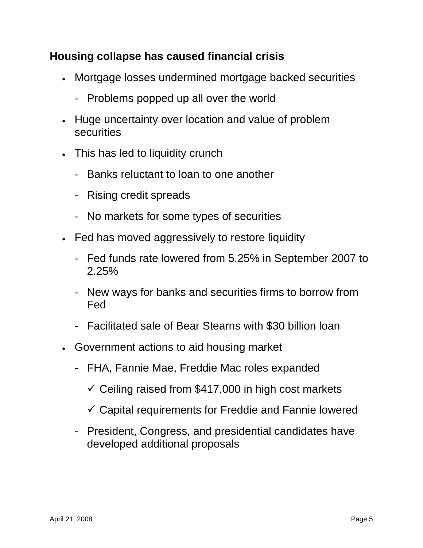#### **Housing collapse has caused financial crisis**

- Mortgage losses undermined mortgage backed securities
	- Problems popped up all over the world
- Huge uncertainty over location and value of problem **securities**
- This has led to liquidity crunch
	- Banks reluctant to loan to one another
	- Rising credit spreads
	- No markets for some types of securities
- Fed has moved aggressively to restore liquidity
	- Fed funds rate lowered from 5.25% in September 2007 to 2.25%
	- New ways for banks and securities firms to borrow from Fed
	- Facilitated sale of Bear Stearns with \$30 billion loan
- Government actions to aid housing market
	- FHA, Fannie Mae, Freddie Mac roles expanded
		- $\checkmark$  Ceiling raised from \$417,000 in high cost markets
		- $\checkmark$  Capital requirements for Freddie and Fannie lowered
	- President, Congress, and presidential candidates have developed additional proposals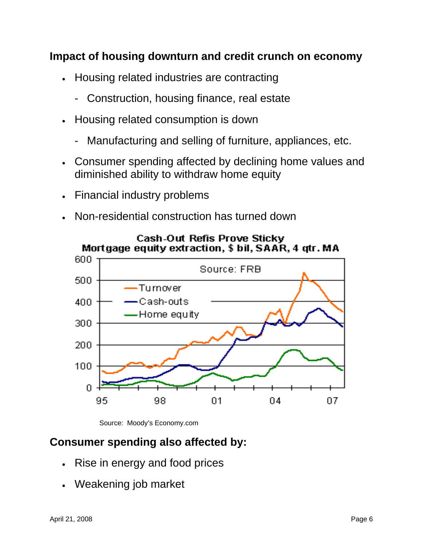#### **Impact of housing downturn and credit crunch on economy**

- Housing related industries are contracting
	- Construction, housing finance, real estate
- Housing related consumption is down
	- Manufacturing and selling of furniture, appliances, etc.
- Consumer spending affected by declining home values and diminished ability to withdraw home equity
- Financial industry problems
- Non-residential construction has turned down



Cash-Out Refis Prove Sticky

Source: Moody's Economy.com

#### **Consumer spending also affected by:**

- Rise in energy and food prices
- Weakening job market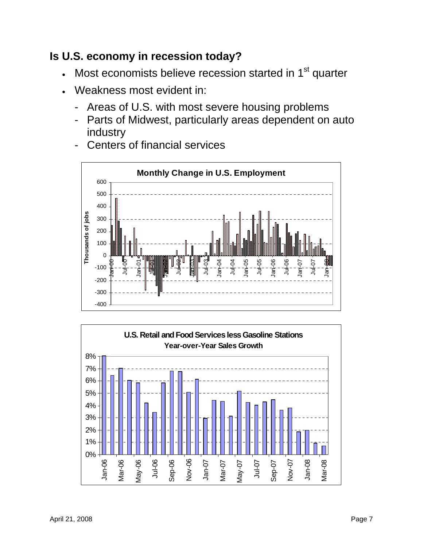### **Is U.S. economy in recession today?**

- Most economists believe recession started in 1<sup>st</sup> quarter
- Weakness most evident in:
	- Areas of U.S. with most severe housing problems
	- Parts of Midwest, particularly areas dependent on auto industry
	- Centers of financial services



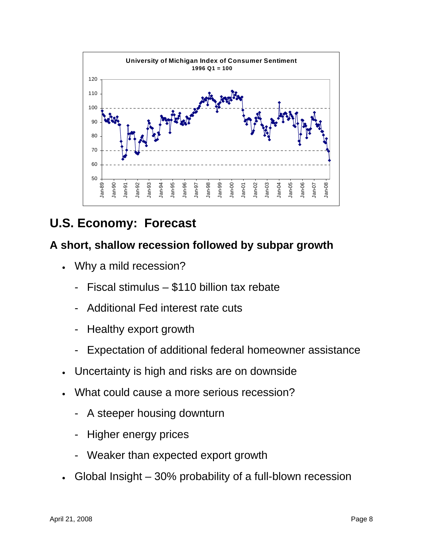

### **U.S. Economy: Forecast**

### **A short, shallow recession followed by subpar growth**

- Why a mild recession?
	- Fiscal stimulus \$110 billion tax rebate
	- Additional Fed interest rate cuts
	- Healthy export growth
	- Expectation of additional federal homeowner assistance
- Uncertainty is high and risks are on downside
- What could cause a more serious recession?
	- A steeper housing downturn
	- Higher energy prices
	- Weaker than expected export growth
- Global Insight 30% probability of a full-blown recession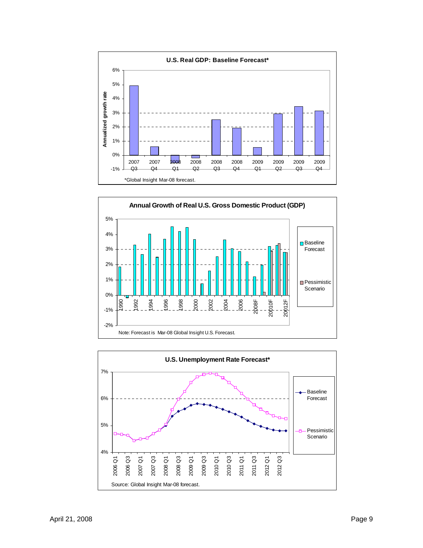



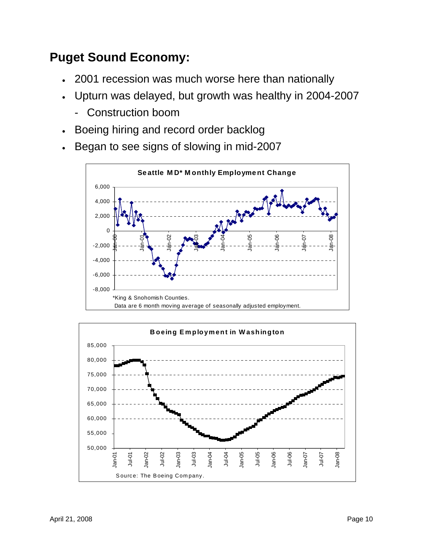### **Puget Sound Economy:**

- 2001 recession was much worse here than nationally
- Upturn was delayed, but growth was healthy in 2004-2007
	- Construction boom
- Boeing hiring and record order backlog
- Began to see signs of slowing in mid-2007



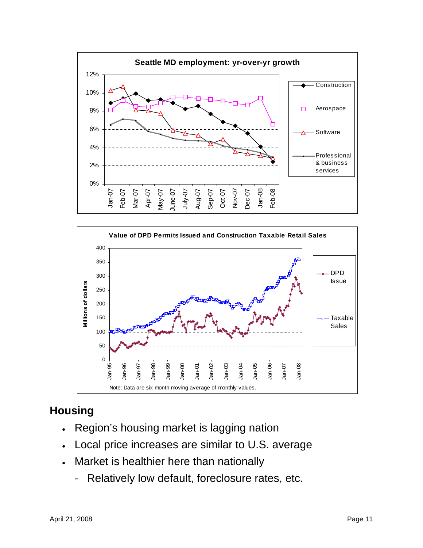



### **Housing**

- Region's housing market is lagging nation
- Local price increases are similar to U.S. average
- Market is healthier here than nationally
	- Relatively low default, foreclosure rates, etc.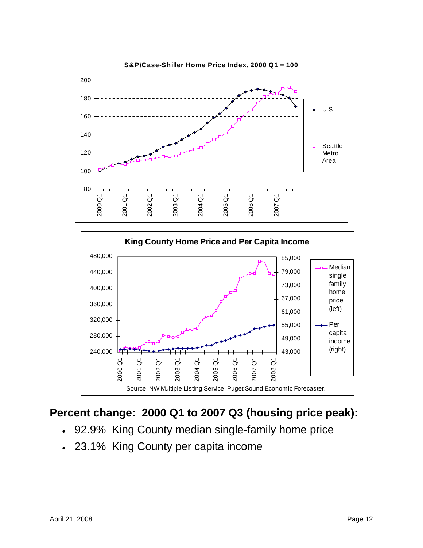



### **Percent change: 2000 Q1 to 2007 Q3 (housing price peak):**

- 92.9% King County median single-family home price
- 23.1% King County per capita income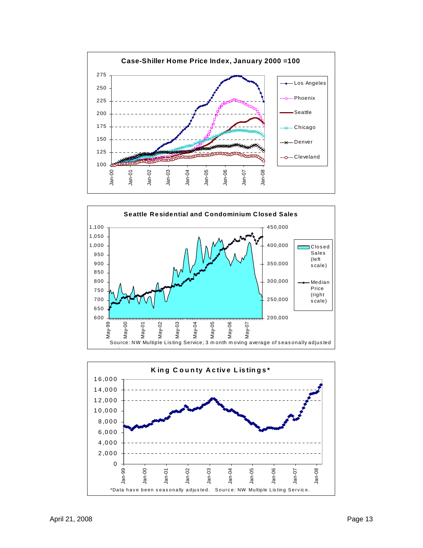



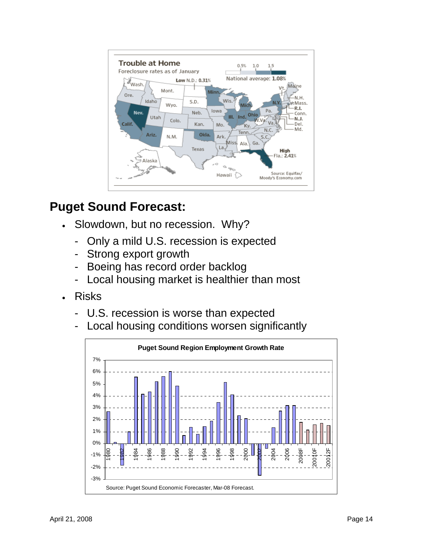

### **Puget Sound Forecast:**

- Slowdown, but no recession. Why?
	- Only a mild U.S. recession is expected
	- Strong export growth
	- Boeing has record order backlog
	- Local housing market is healthier than most
- Risks
	- U.S. recession is worse than expected
	- Local housing conditions worsen significantly

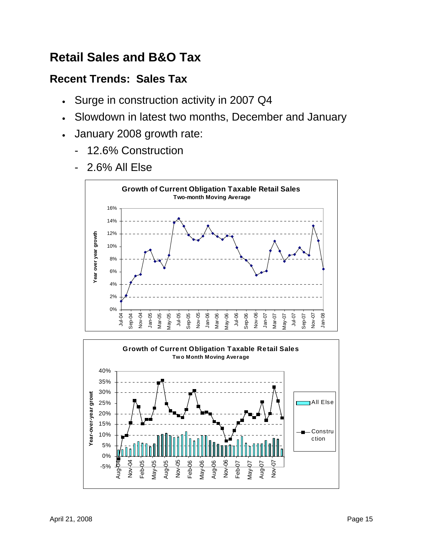### **Retail Sales and B&O Tax**

### **Recent Trends: Sales Tax**

- Surge in construction activity in 2007 Q4
- Slowdown in latest two months, December and January
- January 2008 growth rate:
	- 12.6% Construction
	- 2.6% All Else



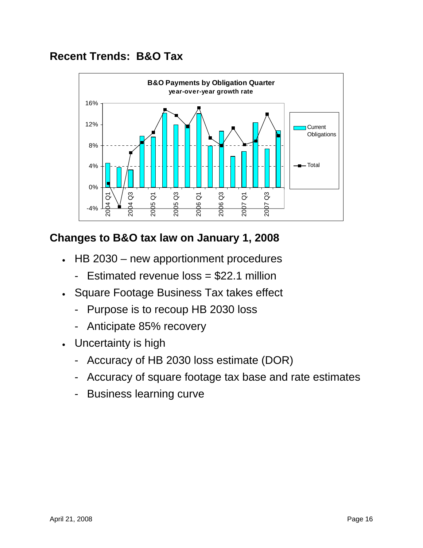### **Recent Trends: B&O Tax**



### **Changes to B&O tax law on January 1, 2008**

- HB 2030 new apportionment procedures
	- Estimated revenue loss = \$22.1 million
- Square Footage Business Tax takes effect
	- Purpose is to recoup HB 2030 loss
	- Anticipate 85% recovery
- Uncertainty is high
	- Accuracy of HB 2030 loss estimate (DOR)
	- Accuracy of square footage tax base and rate estimates
	- Business learning curve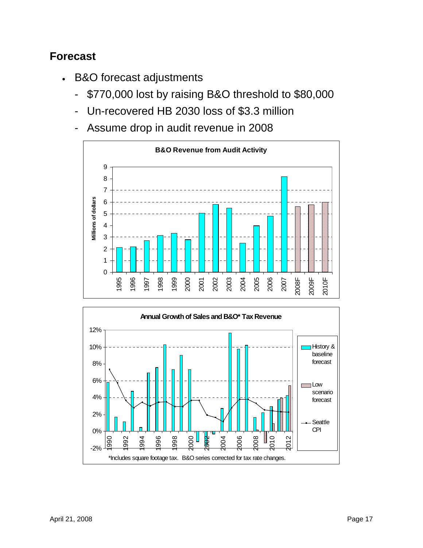### **Forecast**

- B&O forecast adjustments
	- \$770,000 lost by raising B&O threshold to \$80,000
	- Un-recovered HB 2030 loss of \$3.3 million
	- Assume drop in audit revenue in 2008



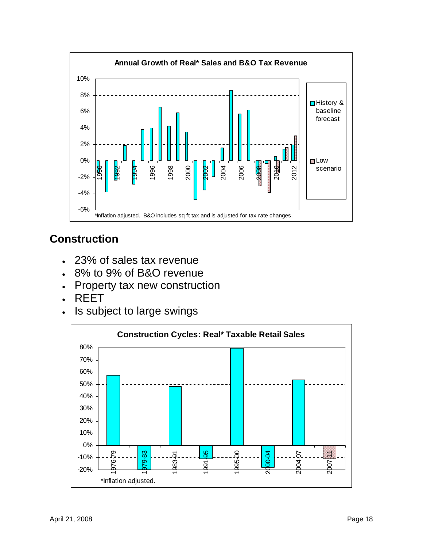

### **Construction**

- 23% of sales tax revenue
- 8% to 9% of B&O revenue
- Property tax new construction
- REET
- Is subject to large swings

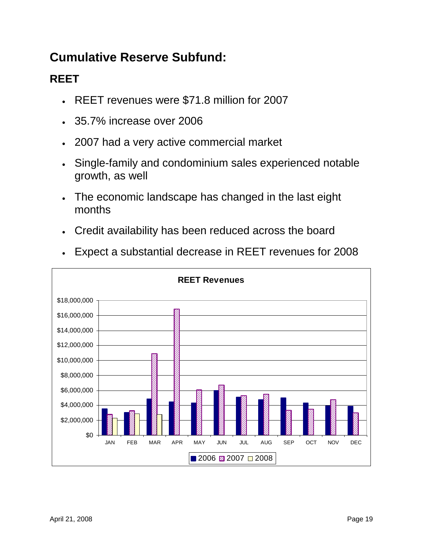### **Cumulative Reserve Subfund:**

### **REET**

- REET revenues were \$71.8 million for 2007
- 35.7% increase over 2006
- 2007 had a very active commercial market
- Single-family and condominium sales experienced notable growth, as well
- The economic landscape has changed in the last eight months
- Credit availability has been reduced across the board



• Expect a substantial decrease in REET revenues for 2008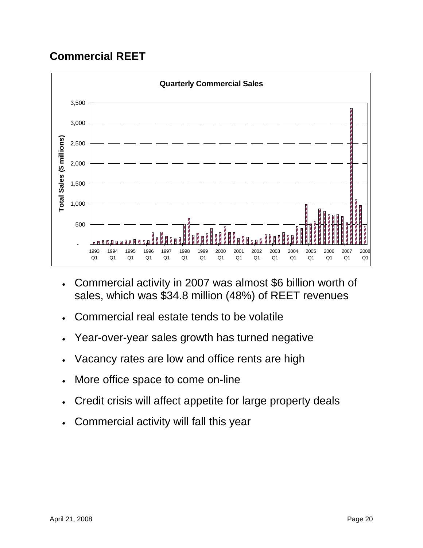### **Commercial REET**



- Commercial activity in 2007 was almost \$6 billion worth of sales, which was \$34.8 million (48%) of REET revenues
- Commercial real estate tends to be volatile
- Year-over-year sales growth has turned negative
- Vacancy rates are low and office rents are high
- More office space to come on-line
- Credit crisis will affect appetite for large property deals
- Commercial activity will fall this year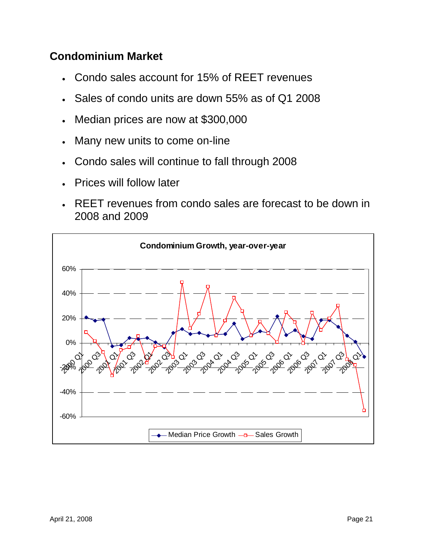#### **Condominium Market**

- Condo sales account for 15% of REET revenues
- Sales of condo units are down 55% as of Q1 2008
- Median prices are now at \$300,000
- Many new units to come on-line
- Condo sales will continue to fall through 2008
- Prices will follow later
- REET revenues from condo sales are forecast to be down in 2008 and 2009

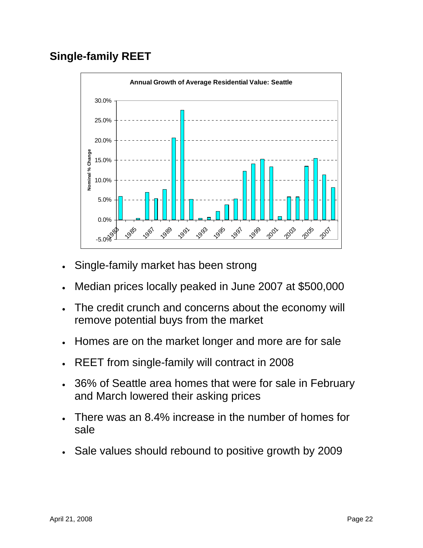### **Single-family REET**



- Single-family market has been strong
- Median prices locally peaked in June 2007 at \$500,000
- The credit crunch and concerns about the economy will remove potential buys from the market
- Homes are on the market longer and more are for sale
- REET from single-family will contract in 2008
- 36% of Seattle area homes that were for sale in February and March lowered their asking prices
- There was an 8.4% increase in the number of homes for sale
- Sale values should rebound to positive growth by 2009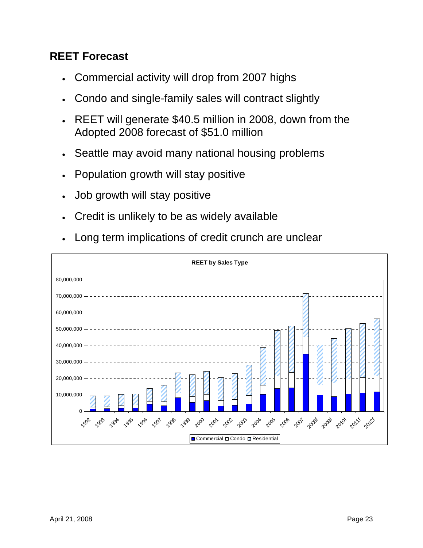#### **REET Forecast**

- Commercial activity will drop from 2007 highs
- Condo and single-family sales will contract slightly
- REET will generate \$40.5 million in 2008, down from the Adopted 2008 forecast of \$51.0 million
- Seattle may avoid many national housing problems
- Population growth will stay positive
- Job growth will stay positive
- Credit is unlikely to be as widely available
- Long term implications of credit crunch are unclear